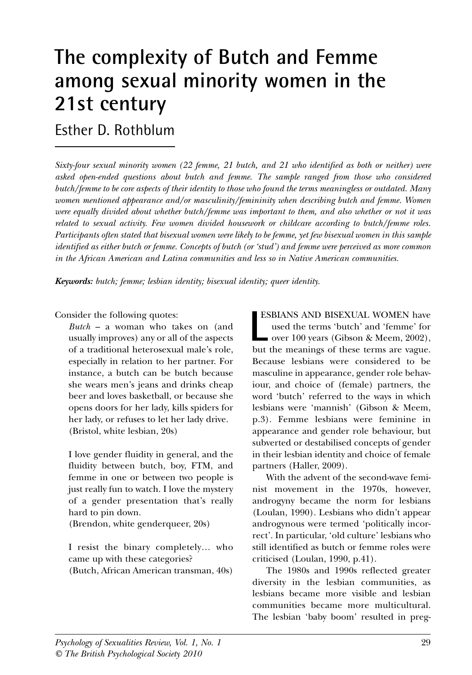# **The complexity of Butch and Femme among sexual minority women in the 21st century**

## Esther D. Rothblum

*Sixty-four sexual minority women (22 femme, 21 butch, and 21 who identified as both or neither) were asked open-ended questions about butch and femme. The sample ranged from those who considered butch/femme to be core aspects of their identity to those who found the terms meaningless or outdated. Many women mentioned appearance and/or masculinity/femininity when describing butch and femme. Women were equally divided about whether butch/femme was important to them, and also whether or not it was related to sexual activity. Few women divided housework or childcare according to butch/femme roles. Participants often stated that bisexual women were likely to be femme, yet few bisexual women in this sample identified as either butch or femme. Concepts of butch (or 'stud') and femme were perceived as more common in the African American and Latina communities and less so in Native American communities.* 

*Keywords: butch; femme; lesbian identity; bisexual identity; queer identity.*

Consider the following quotes:

*Butch* – a woman who takes on (and usually improves) any or all of the aspects of a traditional heterosexual male's role, especially in relation to her partner. For instance, a butch can be butch because she wears men's jeans and drinks cheap beer and loves basketball, or because she opens doors for her lady, kills spiders for her lady, or refuses to let her lady drive. (Bristol, white lesbian, 20s)

I love gender fluidity in general, and the fluidity between butch, boy, FTM, and femme in one or between two people is just really fun to watch. I love the mystery of a gender presentation that's really hard to pin down.

(Brendon, white genderqueer, 20s)

I resist the binary completely… who came up with these categories? (Butch, African American transman, 40s)

ESBIANS AND BISEXUAL WOMEN have used the terms 'butch' and 'femme' for  $\bullet$  over 100 years (Gibson & Meem, 2002), **ESBIANS AND BISEXUAL WOMEN have used the terms 'butch' and 'femme' for over 100 years (Gibson & Meem, 2002), but the meanings of these terms are vague.** Because lesbians were considered to be masculine in appearance, gender role behaviour, and choice of (female) partners, the word 'butch' referred to the ways in which lesbians were 'mannish' (Gibson & Meem, p.3). Femme lesbians were feminine in appearance and gender role behaviour, but subverted or destabilised concepts of gender in their lesbian identity and choice of female partners (Haller, 2009).

With the advent of the second-wave feminist movement in the 1970s, however, androgyny became the norm for lesbians (Loulan, 1990). Lesbians who didn't appear androgynous were termed 'politically incorrect'. In particular, 'old culture' lesbians who still identified as butch or femme roles were criticised (Loulan, 1990, p.41).

The 1980s and 1990s reflected greater diversity in the lesbian communities, as lesbians became more visible and lesbian communities became more multicultural. The lesbian 'baby boom' resulted in preg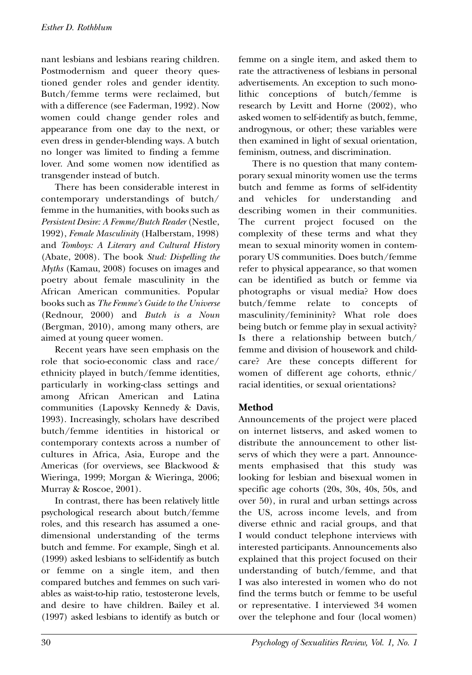nant lesbians and lesbians rearing children. Postmodernism and queer theory questioned gender roles and gender identity. Butch/femme terms were reclaimed, but with a difference (see Faderman, 1992). Now women could change gender roles and appearance from one day to the next, or even dress in gender-blending ways. A butch no longer was limited to finding a femme lover. And some women now identified as transgender instead of butch.

There has been considerable interest in contemporary understandings of butch/ femme in the humanities, with books such as *Persistent Desire: A Femme/Butch Reader* (Nestle, 1992), *Female Masculinity* (Halberstam, 1998) and *Tomboys: A Literary and Cultural History* (Abate, 2008). The book *Stud: Dispelling the Myths* (Kamau, 2008) focuses on images and poetry about female masculinity in the African American communities. Popular books such as *The Femme's Guide to the Universe* (Rednour, 2000) and *Butch is a Noun* (Bergman, 2010), among many others, are aimed at young queer women.

Recent years have seen emphasis on the role that socio-economic class and race/ ethnicity played in butch/femme identities, particularly in working-class settings and among African American and Latina communities (Lapovsky Kennedy & Davis, 1993). Increasingly, scholars have described butch/femme identities in historical or contemporary contexts across a number of cultures in Africa, Asia, Europe and the Americas (for overviews, see Blackwood & Wieringa, 1999; Morgan & Wieringa, 2006; Murray & Roscoe, 2001).

In contrast, there has been relatively little psychological research about butch/femme roles, and this research has assumed a onedimensional understanding of the terms butch and femme. For example, Singh et al. (1999) asked lesbians to self-identify as butch or femme on a single item, and then compared butches and femmes on such variables as waist-to-hip ratio, testosterone levels, and desire to have children. Bailey et al. (1997) asked lesbians to identify as butch or femme on a single item, and asked them to rate the attractiveness of lesbians in personal advertisements. An exception to such monolithic conceptions of butch/femme is research by Levitt and Horne (2002), who asked women to self-identify as butch, femme, androgynous, or other; these variables were then examined in light of sexual orientation, feminism, outness, and discrimination.

There is no question that many contemporary sexual minority women use the terms butch and femme as forms of self-identity and vehicles for understanding and describing women in their communities. The current project focused on the complexity of these terms and what they mean to sexual minority women in contemporary US communities. Does butch/femme refer to physical appearance, so that women can be identified as butch or femme via photographs or visual media? How does butch/femme relate to concepts of masculinity/femininity? What role does being butch or femme play in sexual activity? Is there a relationship between butch/ femme and division of housework and childcare? Are these concepts different for women of different age cohorts, ethnic/ racial identities, or sexual orientations?

#### **Method**

Announcements of the project were placed on internet listservs, and asked women to distribute the announcement to other listservs of which they were a part. Announcements emphasised that this study was looking for lesbian and bisexual women in specific age cohorts (20s, 30s, 40s, 50s, and over 50), in rural and urban settings across the US, across income levels, and from diverse ethnic and racial groups, and that I would conduct telephone interviews with interested participants. Announcements also explained that this project focused on their understanding of butch/femme, and that I was also interested in women who do not find the terms butch or femme to be useful or representative. I interviewed 34 women over the telephone and four (local women)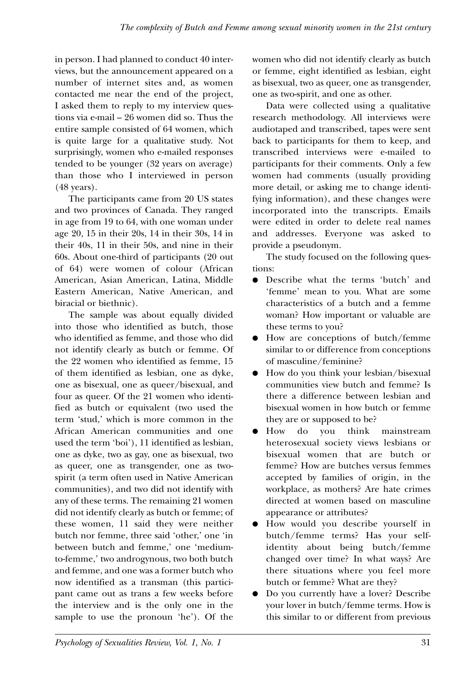in person. I had planned to conduct 40 interviews, but the announcement appeared on a number of internet sites and, as women contacted me near the end of the project, I asked them to reply to my interview questions via e-mail – 26 women did so. Thus the entire sample consisted of 64 women, which is quite large for a qualitative study. Not surprisingly, women who e-mailed responses tended to be younger (32 years on average) than those who I interviewed in person (48 years).

The participants came from 20 US states and two provinces of Canada. They ranged in age from 19 to 64, with one woman under age 20, 15 in their 20s, 14 in their 30s, 14 in their 40s, 11 in their 50s, and nine in their 60s. About one-third of participants (20 out of 64) were women of colour (African American, Asian American, Latina, Middle Eastern American, Native American, and biracial or biethnic).

The sample was about equally divided into those who identified as butch, those who identified as femme, and those who did not identify clearly as butch or femme. Of the 22 women who identified as femme, 15 of them identified as lesbian, one as dyke, one as bisexual, one as queer/bisexual, and four as queer. Of the 21 women who identified as butch or equivalent (two used the term 'stud,' which is more common in the African American communities and one used the term 'boi'), 11 identified as lesbian, one as dyke, two as gay, one as bisexual, two as queer, one as transgender, one as twospirit (a term often used in Native American communities), and two did not identify with any of these terms. The remaining 21 women did not identify clearly as butch or femme; of these women, 11 said they were neither butch nor femme, three said 'other,' one 'in between butch and femme,' one 'mediumto-femme,' two androgynous, two both butch and femme, and one was a former butch who now identified as a transman (this participant came out as trans a few weeks before the interview and is the only one in the sample to use the pronoun 'he'). Of the women who did not identify clearly as butch or femme, eight identified as lesbian, eight as bisexual, two as queer, one as transgender, one as two-spirit, and one as other.

Data were collected using a qualitative research methodology. All interviews were audiotaped and transcribed, tapes were sent back to participants for them to keep, and transcribed interviews were e-mailed to participants for their comments. Only a few women had comments (usually providing more detail, or asking me to change identifying information), and these changes were incorporated into the transcripts. Emails were edited in order to delete real names and addresses. Everyone was asked to provide a pseudonym.

The study focused on the following questions:

- Describe what the terms 'butch' and 'femme' mean to you. What are some characteristics of a butch and a femme woman? How important or valuable are these terms to you?
- How are conceptions of butch/femme similar to or difference from conceptions of masculine/feminine?
- How do you think your lesbian/bisexual communities view butch and femme? Is there a difference between lesbian and bisexual women in how butch or femme they are or supposed to be?
- How do you think mainstream heterosexual society views lesbians or bisexual women that are butch or femme? How are butches versus femmes accepted by families of origin, in the workplace, as mothers? Are hate crimes directed at women based on masculine appearance or attributes?
- How would you describe yourself in butch/femme terms? Has your selfidentity about being butch/femme changed over time? In what ways? Are there situations where you feel more butch or femme? What are they?
- Do you currently have a lover? Describe your lover in butch/femme terms. How is this similar to or different from previous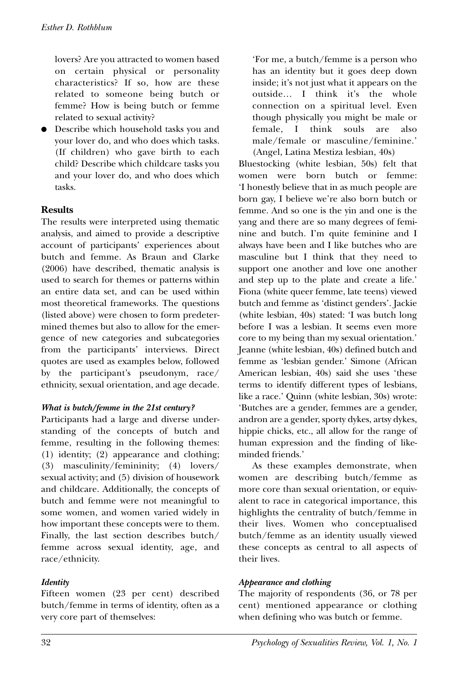lovers? Are you attracted to women based on certain physical or personality characteristics? If so, how are these related to someone being butch or femme? How is being butch or femme related to sexual activity?

● Describe which household tasks you and your lover do, and who does which tasks. (If children) who gave birth to each child? Describe which childcare tasks you and your lover do, and who does which tasks.

#### **Results**

The results were interpreted using thematic analysis, and aimed to provide a descriptive account of participants' experiences about butch and femme. As Braun and Clarke (2006) have described, thematic analysis is used to search for themes or patterns within an entire data set, and can be used within most theoretical frameworks. The questions (listed above) were chosen to form predetermined themes but also to allow for the emergence of new categories and subcategories from the participants' interviews. Direct quotes are used as examples below, followed by the participant's pseudonym, race/ ethnicity, sexual orientation, and age decade.

#### *What is butch/femme in the 21st century?*

Participants had a large and diverse understanding of the concepts of butch and femme, resulting in the following themes: (1) identity; (2) appearance and clothing; (3) masculinity/femininity; (4) lovers/ sexual activity; and (5) division of housework and childcare. Additionally, the concepts of butch and femme were not meaningful to some women, and women varied widely in how important these concepts were to them. Finally, the last section describes butch/ femme across sexual identity, age, and race/ethnicity.

#### *Identity*

Fifteen women (23 per cent) described butch/femme in terms of identity, often as a very core part of themselves:

'For me, a butch/femme is a person who has an identity but it goes deep down inside; it's not just what it appears on the outside… I think it's the whole connection on a spiritual level. Even though physically you might be male or female, I think souls are also male/female or masculine/feminine.' (Angel, Latina Mestiza lesbian, 40s)

Bluestocking (white lesbian, 50s) felt that women were born butch or femme: 'I honestly believe that in as much people are born gay, I believe we're also born butch or femme. And so one is the yin and one is the yang and there are so many degrees of feminine and butch. I'm quite feminine and I always have been and I like butches who are masculine but I think that they need to support one another and love one another and step up to the plate and create a life.' Fiona (white queer femme, late teens) viewed butch and femme as 'distinct genders'. Jackie (white lesbian, 40s) stated: 'I was butch long before I was a lesbian. It seems even more core to my being than my sexual orientation.' Jeanne (white lesbian, 40s) defined butch and femme as 'lesbian gender.' Simone (African American lesbian, 40s) said she uses 'these terms to identify different types of lesbians, like a race.' Quinn (white lesbian, 30s) wrote: 'Butches are a gender, femmes are a gender, andron are a gender, sporty dykes, artsy dykes, hippie chicks, etc., all allow for the range of human expression and the finding of likeminded friends.'

As these examples demonstrate, when women are describing butch/femme as more core than sexual orientation, or equivalent to race in categorical importance, this highlights the centrality of butch/femme in their lives. Women who conceptualised butch/femme as an identity usually viewed these concepts as central to all aspects of their lives.

#### *Appearance and clothing*

The majority of respondents (36, or 78 per cent) mentioned appearance or clothing when defining who was butch or femme.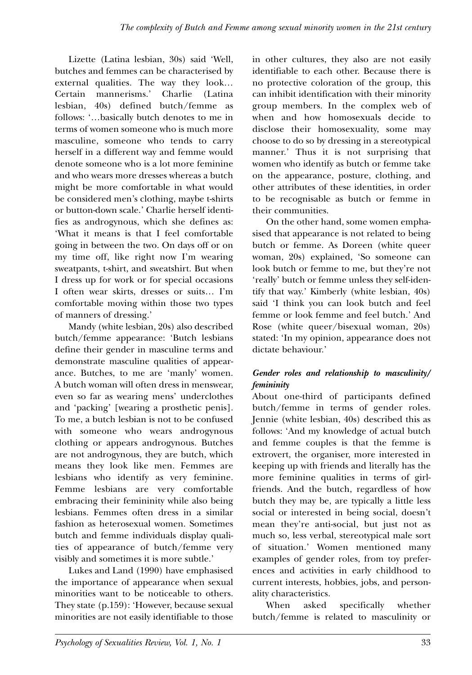Lizette (Latina lesbian, 30s) said 'Well, butches and femmes can be characterised by external qualities. The way they look… Certain mannerisms.' Charlie (Latina lesbian, 40s) defined butch/femme as follows: '…basically butch denotes to me in terms of women someone who is much more masculine, someone who tends to carry herself in a different way and femme would denote someone who is a lot more feminine and who wears more dresses whereas a butch might be more comfortable in what would be considered men's clothing, maybe t-shirts or button-down scale.' Charlie herself identifies as androgynous, which she defines as: 'What it means is that I feel comfortable going in between the two. On days off or on my time off, like right now I'm wearing sweatpants, t-shirt, and sweatshirt. But when I dress up for work or for special occasions I often wear skirts, dresses or suits… I'm comfortable moving within those two types of manners of dressing.'

Mandy (white lesbian, 20s) also described butch/femme appearance: 'Butch lesbians define their gender in masculine terms and demonstrate masculine qualities of appearance. Butches, to me are 'manly' women. A butch woman will often dress in menswear, even so far as wearing mens' underclothes and 'packing' [wearing a prosthetic penis]. To me, a butch lesbian is not to be confused with someone who wears androgynous clothing or appears androgynous. Butches are not androgynous, they are butch, which means they look like men. Femmes are lesbians who identify as very feminine. Femme lesbians are very comfortable embracing their femininity while also being lesbians. Femmes often dress in a similar fashion as heterosexual women. Sometimes butch and femme individuals display qualities of appearance of butch/femme very visibly and sometimes it is more subtle.'

Lukes and Land (1990) have emphasised the importance of appearance when sexual minorities want to be noticeable to others. They state (p.159): 'However, because sexual minorities are not easily identifiable to those

in other cultures, they also are not easily identifiable to each other. Because there is no protective coloration of the group, this can inhibit identification with their minority group members. In the complex web of when and how homosexuals decide to disclose their homosexuality, some may choose to do so by dressing in a stereotypical manner.' Thus it is not surprising that women who identify as butch or femme take on the appearance, posture, clothing, and other attributes of these identities, in order to be recognisable as butch or femme in their communities.

On the other hand, some women emphasised that appearance is not related to being butch or femme. As Doreen (white queer woman, 20s) explained, 'So someone can look butch or femme to me, but they're not 'really' butch or femme unless they self-identify that way.' Kimberly (white lesbian, 40s) said 'I think you can look butch and feel femme or look femme and feel butch.' And Rose (white queer/bisexual woman, 20s) stated: 'In my opinion, appearance does not dictate behaviour.'

#### *Gender roles and relationship to masculinity/ femininity*

About one-third of participants defined butch/femme in terms of gender roles. Jennie (white lesbian, 40s) described this as follows: 'And my knowledge of actual butch and femme couples is that the femme is extrovert, the organiser, more interested in keeping up with friends and literally has the more feminine qualities in terms of girlfriends. And the butch, regardless of how butch they may be, are typically a little less social or interested in being social, doesn't mean they're anti-social, but just not as much so, less verbal, stereotypical male sort of situation.' Women mentioned many examples of gender roles, from toy preferences and activities in early childhood to current interests, hobbies, jobs, and personality characteristics.

When asked specifically whether butch/femme is related to masculinity or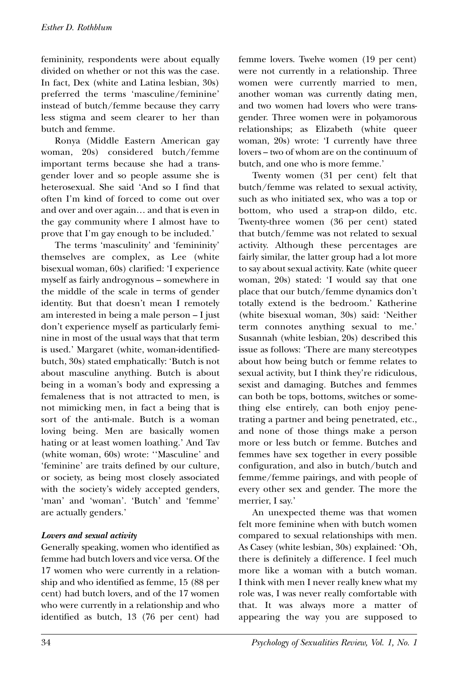femininity, respondents were about equally divided on whether or not this was the case. In fact, Dex (white and Latina lesbian, 30s) preferred the terms 'masculine/feminine' instead of butch/femme because they carry less stigma and seem clearer to her than butch and femme.

Ronya (Middle Eastern American gay woman, 20s) considered butch/femme important terms because she had a transgender lover and so people assume she is heterosexual. She said 'And so I find that often I'm kind of forced to come out over and over and over again… and that is even in the gay community where I almost have to prove that I'm gay enough to be included.'

The terms 'masculinity' and 'femininity' themselves are complex, as Lee (white bisexual woman, 60s) clarified: 'I experience myself as fairly androgynous – somewhere in the middle of the scale in terms of gender identity. But that doesn't mean I remotely am interested in being a male person – I just don't experience myself as particularly feminine in most of the usual ways that that term is used.' Margaret (white, woman-identifiedbutch, 30s) stated emphatically: 'Butch is not about masculine anything. Butch is about being in a woman's body and expressing a femaleness that is not attracted to men, is not mimicking men, in fact a being that is sort of the anti-male. Butch is a woman loving being. Men are basically women hating or at least women loathing.' And Tav (white woman, 60s) wrote: ''Masculine' and 'feminine' are traits defined by our culture, or society, as being most closely associated with the society's widely accepted genders, 'man' and 'woman'. 'Butch' and 'femme' are actually genders.'

#### *Lovers and sexual activity*

Generally speaking, women who identified as femme had butch lovers and vice versa. Of the 17 women who were currently in a relationship and who identified as femme, 15 (88 per cent) had butch lovers, and of the 17 women who were currently in a relationship and who identified as butch, 13 (76 per cent) had femme lovers. Twelve women (19 per cent) were not currently in a relationship. Three women were currently married to men, another woman was currently dating men, and two women had lovers who were transgender. Three women were in polyamorous relationships; as Elizabeth (white queer woman, 20s) wrote: 'I currently have three lovers – two of whom are on the continuum of butch, and one who is more femme.'

Twenty women (31 per cent) felt that butch/femme was related to sexual activity, such as who initiated sex, who was a top or bottom, who used a strap-on dildo, etc. Twenty-three women (36 per cent) stated that butch/femme was not related to sexual activity. Although these percentages are fairly similar, the latter group had a lot more to say about sexual activity. Kate (white queer woman, 20s) stated: 'I would say that one place that our butch/femme dynamics don't totally extend is the bedroom.' Katherine (white bisexual woman, 30s) said: 'Neither term connotes anything sexual to me.' Susannah (white lesbian, 20s) described this issue as follows: 'There are many stereotypes about how being butch or femme relates to sexual activity, but I think they're ridiculous, sexist and damaging. Butches and femmes can both be tops, bottoms, switches or something else entirely, can both enjoy penetrating a partner and being penetrated, etc., and none of those things make a person more or less butch or femme. Butches and femmes have sex together in every possible configuration, and also in butch/butch and femme/femme pairings, and with people of every other sex and gender. The more the merrier, I say.'

An unexpected theme was that women felt more feminine when with butch women compared to sexual relationships with men. As Casey (white lesbian, 30s) explained: 'Oh, there is definitely a difference. I feel much more like a woman with a butch woman. I think with men I never really knew what my role was, I was never really comfortable with that. It was always more a matter of appearing the way you are supposed to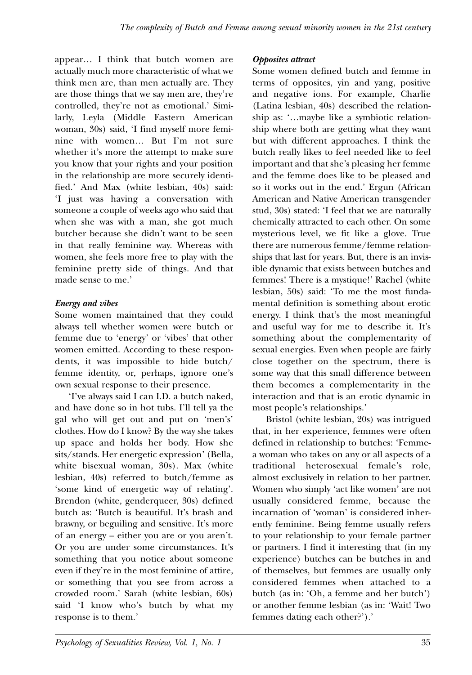appear… I think that butch women are actually much more characteristic of what we think men are, than men actually are. They are those things that we say men are, they're controlled, they're not as emotional.' Similarly, Leyla (Middle Eastern American woman, 30s) said, 'I find myself more feminine with women… But I'm not sure whether it's more the attempt to make sure you know that your rights and your position in the relationship are more securely identified.' And Max (white lesbian, 40s) said: 'I just was having a conversation with someone a couple of weeks ago who said that when she was with a man, she got much butcher because she didn't want to be seen in that really feminine way. Whereas with women, she feels more free to play with the feminine pretty side of things. And that made sense to me.'

#### *Energy and vibes*

Some women maintained that they could always tell whether women were butch or femme due to 'energy' or 'vibes' that other women emitted. According to these respondents, it was impossible to hide butch/ femme identity, or, perhaps, ignore one's own sexual response to their presence.

'I've always said I can I.D. a butch naked, and have done so in hot tubs. I'll tell ya the gal who will get out and put on 'men's' clothes. How do I know? By the way she takes up space and holds her body. How she sits/stands. Her energetic expression' (Bella, white bisexual woman, 30s). Max (white lesbian, 40s) referred to butch/femme as 'some kind of energetic way of relating'. Brendon (white, genderqueer, 30s) defined butch as: 'Butch is beautiful. It's brash and brawny, or beguiling and sensitive. It's more of an energy – either you are or you aren't. Or you are under some circumstances. It's something that you notice about someone even if they're in the most feminine of attire, or something that you see from across a crowded room.' Sarah (white lesbian, 60s) said 'I know who's butch by what my response is to them.'

*Opposites attract*

Some women defined butch and femme in terms of opposites, yin and yang, positive and negative ions. For example, Charlie (Latina lesbian, 40s) described the relationship as: '…maybe like a symbiotic relationship where both are getting what they want but with different approaches. I think the butch really likes to feel needed like to feel important and that she's pleasing her femme and the femme does like to be pleased and so it works out in the end.' Ergun (African American and Native American transgender stud, 30s) stated: 'I feel that we are naturally chemically attracted to each other. On some mysterious level, we fit like a glove. True there are numerous femme/femme relationships that last for years. But, there is an invisible dynamic that exists between butches and femmes! There is a mystique!' Rachel (white lesbian, 50s) said: 'To me the most fundamental definition is something about erotic energy. I think that's the most meaningful and useful way for me to describe it. It's something about the complementarity of sexual energies. Even when people are fairly close together on the spectrum, there is some way that this small difference between them becomes a complementarity in the interaction and that is an erotic dynamic in most people's relationships.'

Bristol (white lesbian, 20s) was intrigued that, in her experience, femmes were often defined in relationship to butches: 'Femmea woman who takes on any or all aspects of a traditional heterosexual female's role, almost exclusively in relation to her partner. Women who simply 'act like women' are not usually considered femme, because the incarnation of 'woman' is considered inherently feminine. Being femme usually refers to your relationship to your female partner or partners. I find it interesting that (in my experience) butches can be butches in and of themselves, but femmes are usually only considered femmes when attached to a butch (as in: 'Oh, a femme and her butch') or another femme lesbian (as in: 'Wait! Two femmes dating each other?').'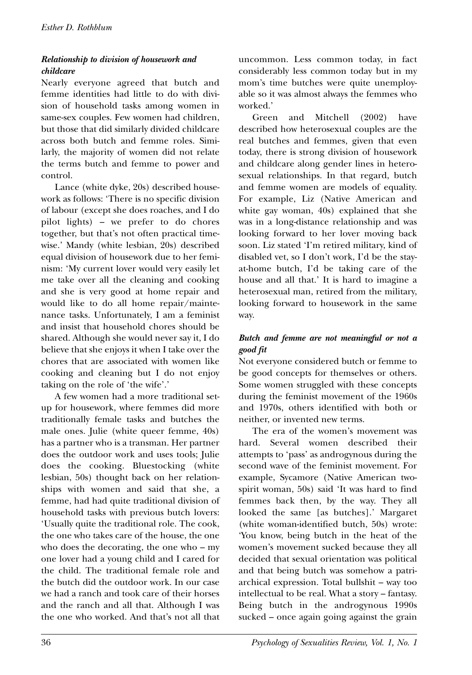#### *Relationship to division of housework and childcare*

Nearly everyone agreed that butch and femme identities had little to do with division of household tasks among women in same-sex couples. Few women had children, but those that did similarly divided childcare across both butch and femme roles. Similarly, the majority of women did not relate the terms butch and femme to power and control.

Lance (white dyke, 20s) described housework as follows: 'There is no specific division of labour (except she does roaches, and I do pilot lights) – we prefer to do chores together, but that's not often practical timewise.' Mandy (white lesbian, 20s) described equal division of housework due to her feminism: 'My current lover would very easily let me take over all the cleaning and cooking and she is very good at home repair and would like to do all home repair/maintenance tasks. Unfortunately, I am a feminist and insist that household chores should be shared. Although she would never say it, I do believe that she enjoys it when I take over the chores that are associated with women like cooking and cleaning but I do not enjoy taking on the role of 'the wife'.'

A few women had a more traditional setup for housework, where femmes did more traditionally female tasks and butches the male ones. Julie (white queer femme, 40s) has a partner who is a transman. Her partner does the outdoor work and uses tools; Julie does the cooking. Bluestocking (white lesbian, 50s) thought back on her relationships with women and said that she, a femme, had had quite traditional division of household tasks with previous butch lovers: 'Usually quite the traditional role. The cook, the one who takes care of the house, the one who does the decorating, the one who – my one lover had a young child and I cared for the child. The traditional female role and the butch did the outdoor work. In our case we had a ranch and took care of their horses and the ranch and all that. Although I was the one who worked. And that's not all that

uncommon. Less common today, in fact considerably less common today but in my mom's time butches were quite unemployable so it was almost always the femmes who worked.'

Green and Mitchell (2002) have described how heterosexual couples are the real butches and femmes, given that even today, there is strong division of housework and childcare along gender lines in heterosexual relationships. In that regard, butch and femme women are models of equality. For example, Liz (Native American and white gay woman, 40s) explained that she was in a long-distance relationship and was looking forward to her lover moving back soon. Liz stated 'I'm retired military, kind of disabled vet, so I don't work, I'd be the stayat-home butch, I'd be taking care of the house and all that.' It is hard to imagine a heterosexual man, retired from the military, looking forward to housework in the same way.

#### *Butch and femme are not meaningful or not a good fit*

Not everyone considered butch or femme to be good concepts for themselves or others. Some women struggled with these concepts during the feminist movement of the 1960s and 1970s, others identified with both or neither, or invented new terms.

The era of the women's movement was hard. Several women described their attempts to 'pass' as androgynous during the second wave of the feminist movement. For example, Sycamore (Native American twospirit woman, 50s) said 'It was hard to find femmes back then, by the way. They all looked the same [as butches].' Margaret (white woman-identified butch, 50s) wrote: 'You know, being butch in the heat of the women's movement sucked because they all decided that sexual orientation was political and that being butch was somehow a patriarchical expression. Total bullshit – way too intellectual to be real. What a story – fantasy. Being butch in the androgynous 1990s sucked – once again going against the grain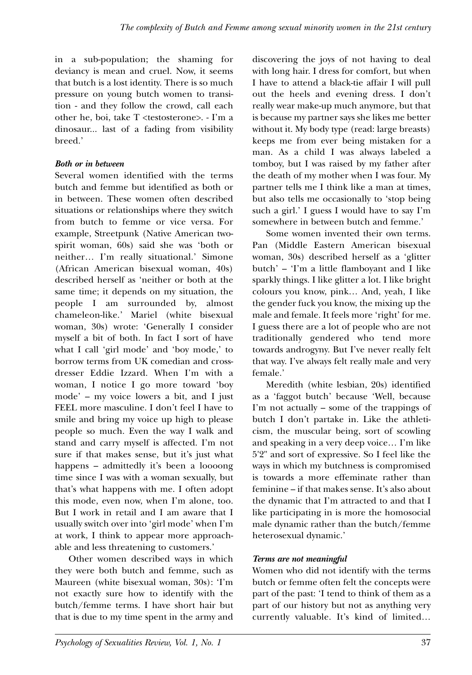in a sub-population; the shaming for deviancy is mean and cruel. Now, it seems that butch is a lost identity. There is so much pressure on young butch women to transition - and they follow the crowd, call each other he, boi, take T <testosterone>. - I'm a dinosaur... last of a fading from visibility breed.'

#### *Both or in between*

Several women identified with the terms butch and femme but identified as both or in between. These women often described situations or relationships where they switch from butch to femme or vice versa. For example, Streetpunk (Native American twospirit woman, 60s) said she was 'both or neither… I'm really situational.' Simone (African American bisexual woman, 40s) described herself as 'neither or both at the same time; it depends on my situation, the people I am surrounded by, almost chameleon-like.' Mariel (white bisexual woman, 30s) wrote: 'Generally I consider myself a bit of both. In fact I sort of have what I call 'girl mode' and 'boy mode,' to borrow terms from UK comedian and crossdresser Eddie Izzard. When I'm with a woman, I notice I go more toward 'boy mode' – my voice lowers a bit, and I just FEEL more masculine. I don't feel I have to smile and bring my voice up high to please people so much. Even the way I walk and stand and carry myself is affected. I'm not sure if that makes sense, but it's just what happens – admittedly it's been a loooong time since I was with a woman sexually, but that's what happens with me. I often adopt this mode, even now, when I'm alone, too. But I work in retail and I am aware that I usually switch over into 'girl mode' when I'm at work, I think to appear more approachable and less threatening to customers.'

Other women described ways in which they were both butch and femme, such as Maureen (white bisexual woman, 30s): 'I'm not exactly sure how to identify with the butch/femme terms. I have short hair but that is due to my time spent in the army and discovering the joys of not having to deal with long hair. I dress for comfort, but when I have to attend a black-tie affair I will pull out the heels and evening dress. I don't really wear make-up much anymore, but that is because my partner says she likes me better without it. My body type (read: large breasts) keeps me from ever being mistaken for a man. As a child I was always labeled a tomboy, but I was raised by my father after the death of my mother when I was four. My partner tells me I think like a man at times, but also tells me occasionally to 'stop being such a girl.' I guess I would have to say I'm somewhere in between butch and femme.'

Some women invented their own terms. Pan (Middle Eastern American bisexual woman, 30s) described herself as a 'glitter butch' – 'I'm a little flamboyant and I like sparkly things. I like glitter a lot. I like bright colours you know, pink… And, yeah, I like the gender fuck you know, the mixing up the male and female. It feels more 'right' for me. I guess there are a lot of people who are not traditionally gendered who tend more towards androgyny. But I've never really felt that way. I've always felt really male and very female.'

Meredith (white lesbian, 20s) identified as a 'faggot butch' because 'Well, because I'm not actually – some of the trappings of butch I don't partake in. Like the athleticism, the muscular being, sort of scowling and speaking in a very deep voice… I'm like 5'2" and sort of expressive. So I feel like the ways in which my butchness is compromised is towards a more effeminate rather than feminine – if that makes sense. It's also about the dynamic that I'm attracted to and that I like participating in is more the homosocial male dynamic rather than the butch/femme heterosexual dynamic.'

#### *Terms are not meaningful*

Women who did not identify with the terms butch or femme often felt the concepts were part of the past: 'I tend to think of them as a part of our history but not as anything very currently valuable. It's kind of limited…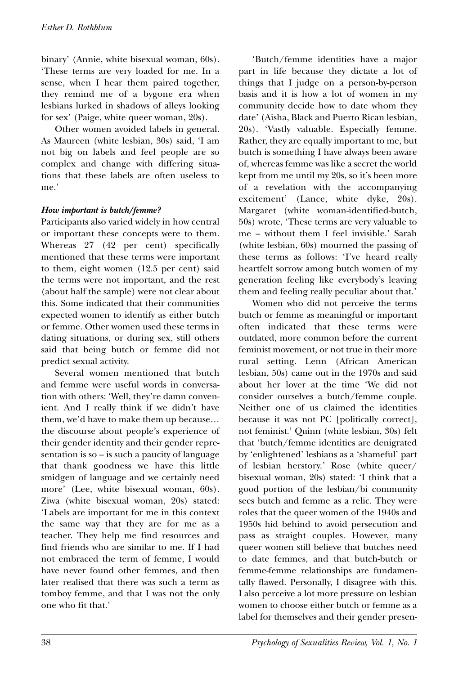binary' (Annie, white bisexual woman, 60s). 'These terms are very loaded for me. In a sense, when I hear them paired together, they remind me of a bygone era when lesbians lurked in shadows of alleys looking for sex' (Paige, white queer woman, 20s).

Other women avoided labels in general. As Maureen (white lesbian, 30s) said, 'I am not big on labels and feel people are so complex and change with differing situations that these labels are often useless to me.'

#### *How important is butch/femme?*

Participants also varied widely in how central or important these concepts were to them. Whereas 27 (42 per cent) specifically mentioned that these terms were important to them, eight women (12.5 per cent) said the terms were not important, and the rest (about half the sample) were not clear about this. Some indicated that their communities expected women to identify as either butch or femme. Other women used these terms in dating situations, or during sex, still others said that being butch or femme did not predict sexual activity.

Several women mentioned that butch and femme were useful words in conversation with others: 'Well, they're damn convenient. And I really think if we didn't have them, we'd have to make them up because… the discourse about people's experience of their gender identity and their gender representation is so – is such a paucity of language that thank goodness we have this little smidgen of language and we certainly need more' (Lee, white bisexual woman, 60s). Ziwa (white bisexual woman, 20s) stated: 'Labels are important for me in this context the same way that they are for me as a teacher. They help me find resources and find friends who are similar to me. If I had not embraced the term of femme, I would have never found other femmes, and then later realised that there was such a term as tomboy femme, and that I was not the only one who fit that.'

'Butch/femme identities have a major part in life because they dictate a lot of things that I judge on a person-by-person basis and it is how a lot of women in my community decide how to date whom they date' (Aisha, Black and Puerto Rican lesbian, 20s). 'Vastly valuable. Especially femme. Rather, they are equally important to me, but butch is something I have always been aware of, whereas femme was like a secret the world kept from me until my 20s, so it's been more of a revelation with the accompanying excitement' (Lance, white dyke, 20s). Margaret (white woman-identified-butch, 50s) wrote, 'These terms are very valuable to me – without them I feel invisible.' Sarah (white lesbian, 60s) mourned the passing of these terms as follows: 'I've heard really heartfelt sorrow among butch women of my generation feeling like everybody's leaving them and feeling really peculiar about that.'

Women who did not perceive the terms butch or femme as meaningful or important often indicated that these terms were outdated, more common before the current feminist movement, or not true in their more rural setting. Lenn (African American lesbian, 50s) came out in the 1970s and said about her lover at the time 'We did not consider ourselves a butch/femme couple. Neither one of us claimed the identities because it was not PC [politically correct], not feminist.' Quinn (white lesbian, 30s) felt that 'butch/femme identities are denigrated by 'enlightened' lesbians as a 'shameful' part of lesbian herstory.' Rose (white queer/ bisexual woman, 20s) stated: 'I think that a good portion of the lesbian/bi community sees butch and femme as a relic. They were roles that the queer women of the 1940s and 1950s hid behind to avoid persecution and pass as straight couples. However, many queer women still believe that butches need to date femmes, and that butch-butch or femme-femme relationships are fundamentally flawed. Personally, I disagree with this. I also perceive a lot more pressure on lesbian women to choose either butch or femme as a label for themselves and their gender presen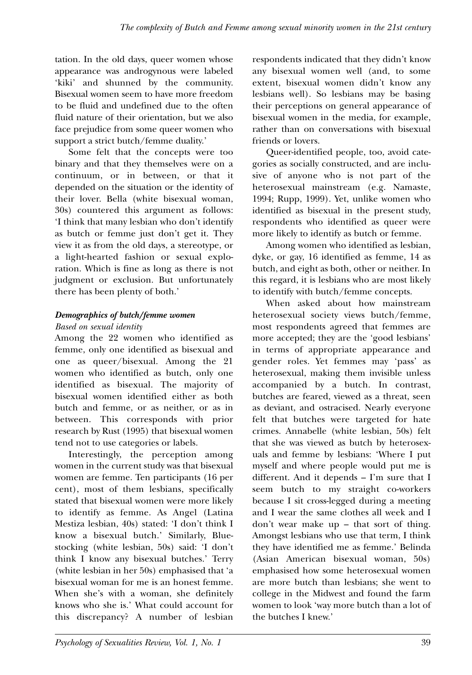tation. In the old days, queer women whose appearance was androgynous were labeled 'kiki' and shunned by the community. Bisexual women seem to have more freedom to be fluid and undefined due to the often fluid nature of their orientation, but we also face prejudice from some queer women who support a strict butch/femme duality.'

Some felt that the concepts were too binary and that they themselves were on a continuum, or in between, or that it depended on the situation or the identity of their lover. Bella (white bisexual woman, 30s) countered this argument as follows: 'I think that many lesbian who don't identify as butch or femme just don't get it. They view it as from the old days, a stereotype, or a light-hearted fashion or sexual exploration. Which is fine as long as there is not judgment or exclusion. But unfortunately there has been plenty of both.'

#### *Demographics of butch/femme women*

#### *Based on sexual identity*

Among the 22 women who identified as femme, only one identified as bisexual and one as queer/bisexual. Among the 21 women who identified as butch, only one identified as bisexual. The majority of bisexual women identified either as both butch and femme, or as neither, or as in between. This corresponds with prior research by Rust (1995) that bisexual women tend not to use categories or labels.

Interestingly, the perception among women in the current study was that bisexual women are femme. Ten participants (16 per cent), most of them lesbians, specifically stated that bisexual women were more likely to identify as femme. As Angel (Latina Mestiza lesbian, 40s) stated: 'I don't think I know a bisexual butch.' Similarly, Bluestocking (white lesbian, 50s) said: 'I don't think I know any bisexual butches.' Terry (white lesbian in her 50s) emphasised that 'a bisexual woman for me is an honest femme. When she's with a woman, she definitely knows who she is.' What could account for this discrepancy? A number of lesbian

respondents indicated that they didn't know any bisexual women well (and, to some extent, bisexual women didn't know any lesbians well). So lesbians may be basing their perceptions on general appearance of bisexual women in the media, for example, rather than on conversations with bisexual friends or lovers.

Queer-identified people, too, avoid categories as socially constructed, and are inclusive of anyone who is not part of the heterosexual mainstream (e.g. Namaste, 1994; Rupp, 1999). Yet, unlike women who identified as bisexual in the present study, respondents who identified as queer were more likely to identify as butch or femme.

Among women who identified as lesbian, dyke, or gay, 16 identified as femme, 14 as butch, and eight as both, other or neither. In this regard, it is lesbians who are most likely to identify with butch/femme concepts.

When asked about how mainstream heterosexual society views butch/femme, most respondents agreed that femmes are more accepted; they are the 'good lesbians' in terms of appropriate appearance and gender roles. Yet femmes may 'pass' as heterosexual, making them invisible unless accompanied by a butch. In contrast, butches are feared, viewed as a threat, seen as deviant, and ostracised. Nearly everyone felt that butches were targeted for hate crimes. Annabelle (white lesbian, 50s) felt that she was viewed as butch by heterosexuals and femme by lesbians: 'Where I put myself and where people would put me is different. And it depends – I'm sure that I seem butch to my straight co-workers because I sit cross-legged during a meeting and I wear the same clothes all week and I don't wear make up – that sort of thing. Amongst lesbians who use that term, I think they have identified me as femme.' Belinda (Asian American bisexual woman, 50s) emphasised how some heterosexual women are more butch than lesbians; she went to college in the Midwest and found the farm women to look 'way more butch than a lot of the butches I knew.'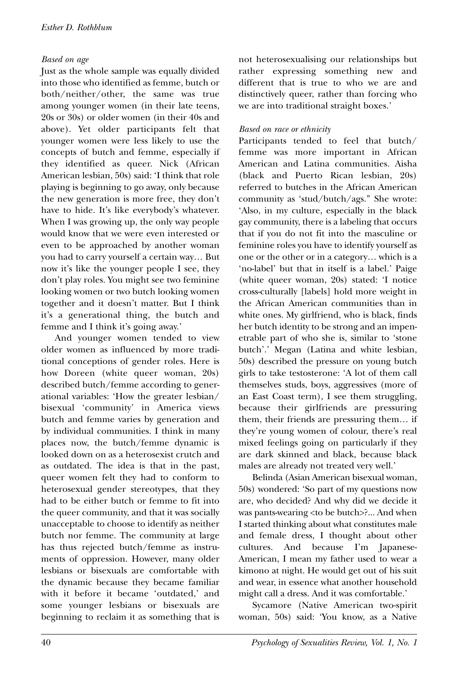#### *Based on age*

Just as the whole sample was equally divided into those who identified as femme, butch or both/neither/other, the same was true among younger women (in their late teens, 20s or 30s) or older women (in their 40s and above). Yet older participants felt that younger women were less likely to use the concepts of butch and femme, especially if they identified as queer. Nick (African American lesbian, 50s) said: 'I think that role playing is beginning to go away, only because the new generation is more free, they don't have to hide. It's like everybody's whatever. When I was growing up, the only way people would know that we were even interested or even to be approached by another woman you had to carry yourself a certain way… But now it's like the younger people I see, they don't play roles. You might see two feminine looking women or two butch looking women together and it doesn't matter. But I think it's a generational thing, the butch and femme and I think it's going away.'

And younger women tended to view older women as influenced by more traditional conceptions of gender roles. Here is how Doreen (white queer woman, 20s) described butch/femme according to generational variables: 'How the greater lesbian/ bisexual 'community' in America views butch and femme varies by generation and by individual communities. I think in many places now, the butch/femme dynamic is looked down on as a heterosexist crutch and as outdated. The idea is that in the past, queer women felt they had to conform to heterosexual gender stereotypes, that they had to be either butch or femme to fit into the queer community, and that it was socially unacceptable to choose to identify as neither butch nor femme. The community at large has thus rejected butch/femme as instruments of oppression. However, many older lesbians or bisexuals are comfortable with the dynamic because they became familiar with it before it became 'outdated,' and some younger lesbians or bisexuals are beginning to reclaim it as something that is

not heterosexualising our relationships but rather expressing something new and different that is true to who we are and distinctively queer, rather than forcing who we are into traditional straight boxes.'

#### *Based on race or ethnicity*

Participants tended to feel that butch/ femme was more important in African American and Latina communities. Aisha (black and Puerto Rican lesbian, 20s) referred to butches in the African American community as 'stud/butch/ags.'' She wrote: 'Also, in my culture, especially in the black gay community, there is a labeling that occurs that if you do not fit into the masculine or feminine roles you have to identify yourself as one or the other or in a category… which is a 'no-label' but that in itself is a label.' Paige (white queer woman, 20s) stated: 'I notice cross-culturally [labels] hold more weight in the African American communities than in white ones. My girlfriend, who is black, finds her butch identity to be strong and an impenetrable part of who she is, similar to 'stone butch'.' Megan (Latina and white lesbian, 50s) described the pressure on young butch girls to take testosterone: 'A lot of them call themselves studs, boys, aggressives (more of an East Coast term), I see them struggling, because their girlfriends are pressuring them, their friends are pressuring them… if they're young women of colour, there's real mixed feelings going on particularly if they are dark skinned and black, because black males are already not treated very well.'

Belinda (Asian American bisexual woman, 50s) wondered: 'So part of my questions now are, who decided? And why did we decide it was pants-wearing <to be butch>?... And when I started thinking about what constitutes male and female dress, I thought about other cultures. And because I'm Japanese-American, I mean my father used to wear a kimono at night. He would get out of his suit and wear, in essence what another household might call a dress. And it was comfortable.'

Sycamore (Native American two-spirit woman, 50s) said: 'You know, as a Native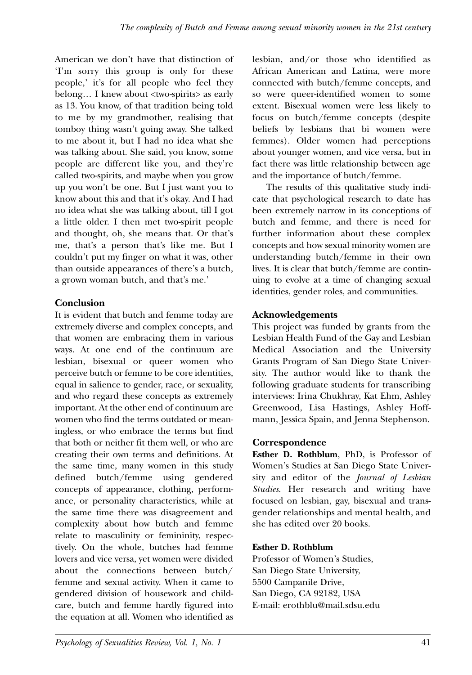American we don't have that distinction of 'I'm sorry this group is only for these people,' it's for all people who feel they belong… I knew about <two-spirits> as early as 13. You know, of that tradition being told to me by my grandmother, realising that tomboy thing wasn't going away. She talked to me about it, but I had no idea what she was talking about. She said, you know, some people are different like you, and they're called two-spirits, and maybe when you grow up you won't be one. But I just want you to know about this and that it's okay. And I had no idea what she was talking about, till I got a little older. I then met two-spirit people and thought, oh, she means that. Or that's me, that's a person that's like me. But I couldn't put my finger on what it was, other than outside appearances of there's a butch, a grown woman butch, and that's me.'

#### **Conclusion**

It is evident that butch and femme today are extremely diverse and complex concepts, and that women are embracing them in various ways. At one end of the continuum are lesbian, bisexual or queer women who perceive butch or femme to be core identities, equal in salience to gender, race, or sexuality, and who regard these concepts as extremely important. At the other end of continuum are women who find the terms outdated or meaningless, or who embrace the terms but find that both or neither fit them well, or who are creating their own terms and definitions. At the same time, many women in this study defined butch/femme using gendered concepts of appearance, clothing, performance, or personality characteristics, while at the same time there was disagreement and complexity about how butch and femme relate to masculinity or femininity, respectively. On the whole, butches had femme lovers and vice versa, yet women were divided about the connections between butch/ femme and sexual activity. When it came to gendered division of housework and childcare, butch and femme hardly figured into the equation at all. Women who identified as lesbian, and/or those who identified as African American and Latina, were more connected with butch/femme concepts, and so were queer-identified women to some extent. Bisexual women were less likely to focus on butch/femme concepts (despite beliefs by lesbians that bi women were femmes). Older women had perceptions about younger women, and vice versa, but in fact there was little relationship between age and the importance of butch/femme.

The results of this qualitative study indicate that psychological research to date has been extremely narrow in its conceptions of butch and femme, and there is need for further information about these complex concepts and how sexual minority women are understanding butch/femme in their own lives. It is clear that butch/femme are continuing to evolve at a time of changing sexual identities, gender roles, and communities.

### **Acknowledgements**

This project was funded by grants from the Lesbian Health Fund of the Gay and Lesbian Medical Association and the University Grants Program of San Diego State University. The author would like to thank the following graduate students for transcribing interviews: Irina Chukhray, Kat Ehm, Ashley Greenwood, Lisa Hastings, Ashley Hoffmann, Jessica Spain, and Jenna Stephenson.

#### **Correspondence**

**Esther D. Rothblum**, PhD, is Professor of Women's Studies at San Diego State University and editor of the *Journal of Lesbian Studies*. Her research and writing have focused on lesbian, gay, bisexual and transgender relationships and mental health, and she has edited over 20 books.

#### **Esther D. Rothblum**

Professor of Women's Studies, San Diego State University, 5500 Campanile Drive, San Diego, CA 92182, USA E-mail: erothblu@mail.sdsu.edu